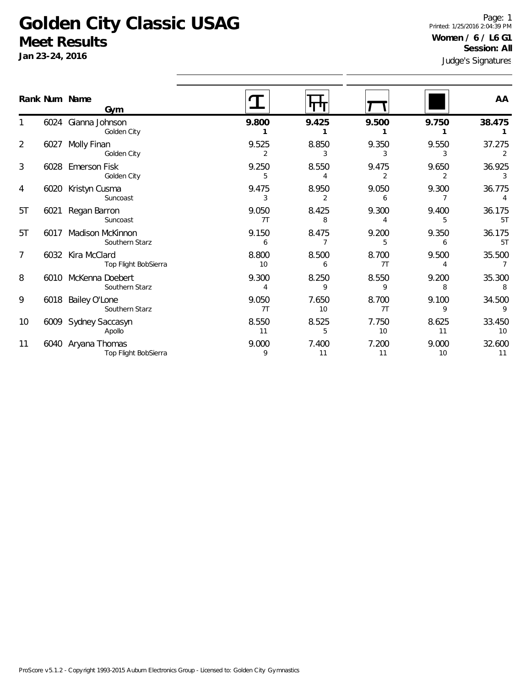#### **Golden City Classic USAG Meet Results**

**Jan 23-24, 2016**

1

2

3

4

5T

5T

7

8

9

10

11

ures Page: 1 Printed: 1/25/2016 2:04:39 PM **Women / 6 / L6 G1 Session: All**

| Jali 23-24, 2010 |               |                                            | Judge's Signatures |             |             |             |                          |  |
|------------------|---------------|--------------------------------------------|--------------------|-------------|-------------|-------------|--------------------------|--|
|                  | Rank Num Name | Gym                                        |                    |             |             |             | AA                       |  |
| 1                |               | 6024 Gianna Johnson<br>Golden City         | 9.800              | 9.425       | 9.500       | 9.750       | 38.475                   |  |
| $\overline{2}$   |               | 6027 Molly Finan<br>Golden City            | 9.525<br>2         | 8.850<br>3  | 9.350<br>3  | 9.550<br>3  | 37.275<br>2              |  |
| 3                |               | 6028 Emerson Fisk<br>Golden City           | 9.250<br>5         | 8.550<br>4  | 9.475<br>2  | 9.650<br>2  | 36.925<br>3              |  |
| 4                |               | 6020 Kristyn Cusma<br>Suncoast             | 9.475<br>3         | 8.950<br>2  | 9.050<br>6  | 9.300       | 36.775                   |  |
| 5T               |               | 6021 Regan Barron<br>Suncoast              | 9.050<br>7T        | 8.425<br>8  | 9.300       | 9.400<br>5  | 36.175<br>5T             |  |
| 5T               | 6017          | <b>Madison McKinnon</b><br>Southern Starz  | 9.150<br>6         | 8.475       | 9.200<br>5  | 9.350<br>6  | 36.175<br>5T             |  |
| 7                |               | 6032 Kira McClard<br>Top Flight BobSierra  | 8.800<br>10        | 8.500<br>6  | 8.700<br>7T | 9.500<br>4  | 35.500<br>$\overline{7}$ |  |
| 8                |               | 6010 McKenna Doebert<br>Southern Starz     | 9.300<br>4         | 8.250<br>9  | 8.550<br>9  | 9.200<br>8  | 35.300<br>8              |  |
| 9                |               | 6018 Bailey O'Lone<br>Southern Starz       | 9.050<br>7T        | 7.650<br>10 | 8.700<br>7T | 9.100<br>9  | 34.500                   |  |
| 10               |               | 6009 Sydney Saccasyn<br>Apollo             | 8.550<br>11        | 8.525<br>5  | 7.750<br>10 | 8.625<br>11 | 33.450<br>10             |  |
| 11               |               | 6040 Aryana Thomas<br>Top Flight BobSierra | 9.000<br>9         | 7.400<br>11 | 7.200<br>11 | 9.000<br>10 | 32.600<br>11             |  |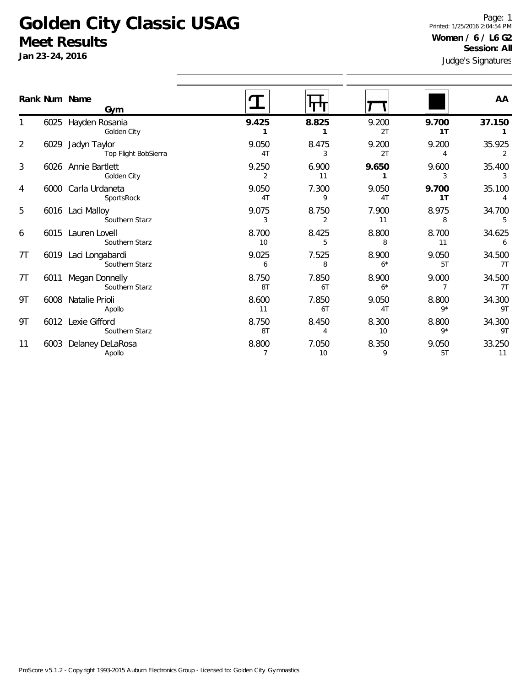### **Golden City Classic USAG Meet Results**

**Jan 23-24, 2016**

Judge's Signatures Page: 1 Printed: 1/25/2016 2:04:54 PM **Women / 6 / L6 G2 Session: All**

|                |      | Rank Num Name<br>Gym                 |             |                         |               |                         | AA           |
|----------------|------|--------------------------------------|-------------|-------------------------|---------------|-------------------------|--------------|
|                | 6025 | Hayden Rosania<br>Golden City        | 9.425       | 8.825                   | 9.200<br>2T   | 9.700<br>1 <sub>T</sub> | 37.150       |
| $\overline{2}$ | 6029 | Jadyn Taylor<br>Top Flight BobSierra | 9.050<br>4T | 8.475<br>3              | 9.200<br>2T   | 9.200<br>4              | 35.925<br>2  |
| 3              |      | 6026 Annie Bartlett<br>Golden City   | 9.250<br>2  | 6.900<br>11             | 9.650<br>1    | 9.600<br>3              | 35.400<br>3  |
| 4              |      | 6000 Carla Urdaneta<br>SportsRock    | 9.050<br>4T | 7.300<br>9              | 9.050<br>4T   | 9.700<br>1T             | 35.100<br>4  |
| 5              |      | 6016 Laci Malloy<br>Southern Starz   | 9.075<br>3  | 8.750<br>$\overline{2}$ | 7.900<br>11   | 8.975<br>8              | 34.700<br>5  |
| 6              |      | 6015 Lauren Lovell<br>Southern Starz | 8.700<br>10 | 8.425<br>5              | 8.800<br>8    | 8.700<br>11             | 34.625<br>6  |
| 7T             | 6019 | Laci Longabardi<br>Southern Starz    | 9.025<br>6  | 7.525<br>8              | 8.900<br>$6*$ | 9.050<br>5T             | 34.500<br>7T |
| 7T             | 6011 | Megan Donnelly<br>Southern Starz     | 8.750<br>8T | 7.850<br>6T             | 8.900<br>$6*$ | 9.000<br>7              | 34.500<br>7T |
| 9T             | 6008 | Natalie Prioli<br>Apollo             | 8.600<br>11 | 7.850<br>6T             | 9.050<br>4T   | 8.800<br>$9*$           | 34.300<br>9T |
| 9Τ             |      | 6012 Lexie Gifford<br>Southern Starz | 8.750<br>8T | 8.450<br>4              | 8.300<br>10   | 8.800<br>$9*$           | 34.300<br>9T |
| 11             |      | 6003 Delaney DeLaRosa<br>Apollo      | 8.800<br>7  | 7.050<br>10             | 8.350<br>9    | 9.050<br>5T             | 33.250<br>11 |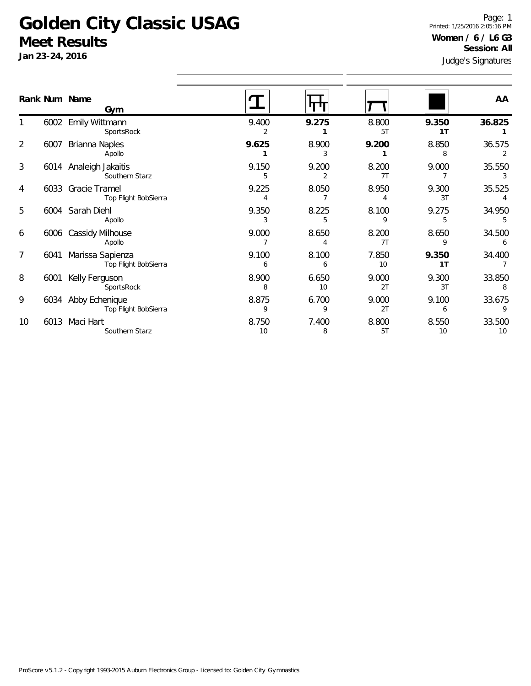### **Golden City Classic USAG Meet Results**

**Jan 23-24, 2016**

Judge's Signatures Page: 1 Printed: 1/25/2016 2:05:16 PM **Women / 6 / L6 G3 Session: All**

|    |      | Rank Num Name<br>Gym                        |             |             |             |                         | AA           |
|----|------|---------------------------------------------|-------------|-------------|-------------|-------------------------|--------------|
|    | 6002 | Emily Wittmann<br>SportsRock                | 9.400       | 9.275       | 8.800<br>5T | 9.350<br>1 <sub>T</sub> | 36.825       |
| 2  | 6007 | Brianna Naples<br>Apollo                    | 9.625       | 8.900<br>3  | 9.200       | 8.850<br>8              | 36.575       |
| 3  |      | 6014 Analeigh Jakaitis<br>Southern Starz    | 9.150<br>5  | 9.200<br>2  | 8.200<br>7T | 9.000                   | 35.550<br>3  |
| 4  |      | 6033 Gracie Tramel<br>Top Flight BobSierra  | 9.225       | 8.050       | 8.950       | 9.300<br>3T             | 35.525       |
| 5  |      | 6004 Sarah Diehl<br>Apollo                  | 9.350       | 8.225<br>5  | 8.100       | 9.275<br>5              | 34.950       |
| 6  | 6006 | <b>Cassidy Milhouse</b><br>Apollo           | 9.000       | 8.650       | 8.200<br>7T | 8.650<br>9              | 34.500<br>6  |
| 7  | 6041 | Marissa Sapienza<br>Top Flight BobSierra    | 9.100<br>6  | 8.100<br>6  | 7.850<br>10 | 9.350<br>1T             | 34.400       |
| 8  | 6001 | Kelly Ferguson<br>SportsRock                | 8.900<br>8  | 6.650<br>10 | 9.000<br>2T | 9.300<br>3T             | 33.850       |
| 9  |      | 6034 Abby Echenique<br>Top Flight BobSierra | 8.875<br>9  | 6.700<br>9  | 9.000<br>2T | 9.100<br>6              | 33.675       |
| 10 | 6013 | Maci Hart<br>Southern Starz                 | 8.750<br>10 | 7.400<br>8  | 8.800<br>5T | 8.550<br>10             | 33.500<br>10 |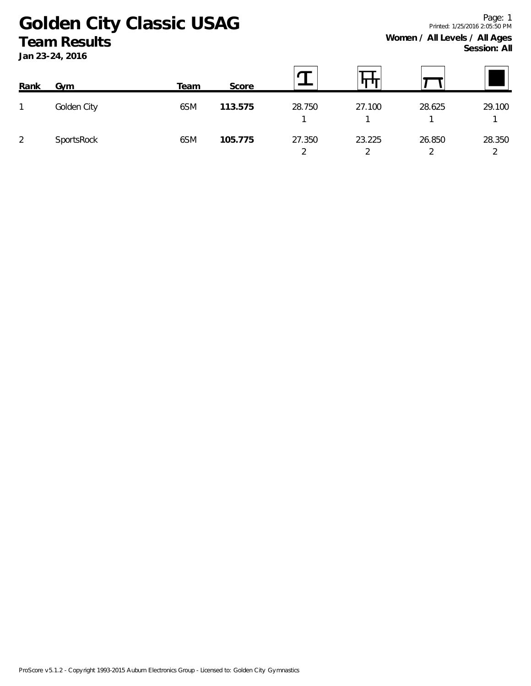# **Golden City Classic USAG Team Results**

**Jan 23-24, 2016**

| Rank | Gym         | Team | Score   |             |                                    |        |             |
|------|-------------|------|---------|-------------|------------------------------------|--------|-------------|
| 1    | Golden City | 6SM  | 113.575 | 28.750      | 27.100                             | 28.625 | 29.100      |
| 2    | SportsRock  | 6SM  | 105.775 | 27.350<br>◠ | 23.225<br>$\overline{\phantom{0}}$ | 26.850 | 28.350<br>◠ |